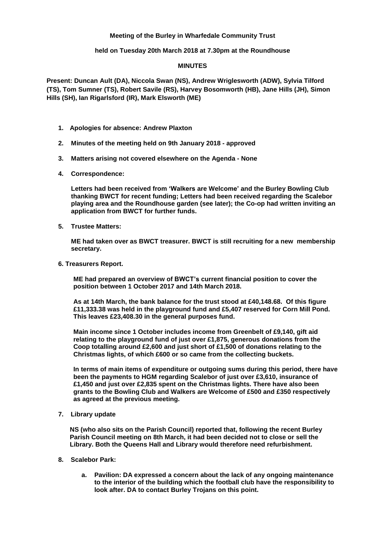# **Meeting of the Burley in Wharfedale Community Trust**

# **held on Tuesday 20th March 2018 at 7.30pm at the Roundhouse**

# **MINUTES**

**Present: Duncan Ault (DA), Niccola Swan (NS), Andrew Wriglesworth (ADW), Sylvia Tilford (TS), Tom Sumner (TS), Robert Savile (RS), Harvey Bosomworth (HB), Jane Hills (JH), Simon Hills (SH), Ian Rigarlsford (IR), Mark Elsworth (ME)**

- **1. Apologies for absence: Andrew Plaxton**
- **2. Minutes of the meeting held on 9th January 2018 - approved**
- **3. Matters arising not covered elsewhere on the Agenda - None**
- **4. Correspondence:**

**Letters had been received from 'Walkers are Welcome' and the Burley Bowling Club thanking BWCT for recent funding; Letters had been received regarding the Scalebor playing area and the Roundhouse garden (see later); the Co-op had written inviting an application from BWCT for further funds.**

**5. Trustee Matters:**

**ME had taken over as BWCT treasurer. BWCT is still recruiting for a new membership secretary.**

**6. Treasurers Report.**

**ME had prepared an overview of BWCT's current financial position to cover the position between 1 October 2017 and 14th March 2018.**

**As at 14th March, the bank balance for the trust stood at £40,148.68. Of this figure £11,333.38 was held in the playground fund and £5,407 reserved for Corn Mill Pond. This leaves £23,408.30 in the general purposes fund.**

**Main income since 1 October includes income from Greenbelt of £9,140, gift aid relating to the playground fund of just over £1,875, generous donations from the Coop totalling around £2,600 and just short of £1,500 of donations relating to the Christmas lights, of which £600 or so came from the collecting buckets.**

**In terms of main items of expenditure or outgoing sums during this period, there have been the payments to HGM regarding Scalebor of just over £3,610, insurance of £1,450 and just over £2,835 spent on the Christmas lights. There have also been grants to the Bowling Club and Walkers are Welcome of £500 and £350 respectively as agreed at the previous meeting.**

**7. Library update**

**NS (who also sits on the Parish Council) reported that, following the recent Burley Parish Council meeting on 8th March, it had been decided not to close or sell the Library. Both the Queens Hall and Library would therefore need refurbishment.**

- **8. Scalebor Park:**
	- **a. Pavilion: DA expressed a concern about the lack of any ongoing maintenance to the interior of the building which the football club have the responsibility to look after. DA to contact Burley Trojans on this point.**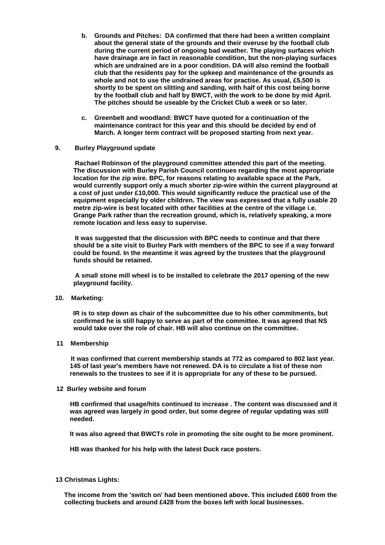- **b. Grounds and Pitches: DA confirmed that there had been a written complaint about the general state of the grounds and their overuse by the football club during the current period of ongoing bad weather. The playing surfaces which have drainage are in fact in reasonable condition, but the non-playing surfaces which are undrained are in a poor condition. DA will also remind the football club that the residents pay for the upkeep and maintenance of the grounds as whole and not to use the undrained areas for practise. As usual, £5,500 is shortly to be spent on slitting and sanding, with half of this cost being borne by the football club and half by BWCT, with the work to be done by mid April. The pitches should be useable by the Cricket Club a week or so later.**
- **c. Greenbelt and woodland: BWCT have quoted for a continuation of the maintenance contract for this year and this should be decided by end of March. A longer term contract will be proposed starting from next year.**

# **9. Burley Playground update**

 **Rachael Robinson of the playground committee attended this part of the meeting. The discussion with Burley Parish Council continues regarding the most appropriate location for the zip wire. BPC, for reasons relating to available space at the Park, would currently support only a much shorter zip-wire within the current playground at a cost of just under £10,000. This would significantly reduce the practical use of the equipment especially by older children. The view was expressed that a fully usable 20 metre zip-wire is best located with other facilities at the centre of the village i.e. Grange Park rather than the recreation ground, which is, relatively speaking, a more remote location and less easy to supervise.**

 **It was suggested that the discussion with BPC needs to continue and that there should be a site visit to Burley Park with members of the BPC to see if a way forward could be found. In the meantime it was agreed by the trustees that the playground funds should be retained.**

 **A small stone mill wheel is to be installed to celebrate the 2017 opening of the new playground facility.**

**10. Marketing:**

 **IR is to step down as chair of the subcommittee due to his other commitments, but confirmed he is still happy to serve as part of the committee. It was agreed that NS would take over the role of chair. HB will also continue on the committee.**

**11 Membership**

**It was confirmed that current membership stands at 772 as compared to 802 last year. 145 of last year's members have not renewed. DA is to circulate a list of these non renewals to the trustees to see if it is appropriate for any of these to be pursued.**

**12 Burley website and forum**

**HB confirmed that usage/hits continued to increase . The content was discussed and it was agreed was largely in good order, but some degree of regular updating was still needed.**

**It was also agreed that BWCTs role in promoting the site ought to be more prominent.**

**HB was thanked for his help with the latest Duck race posters.**

 **13 Christmas Lights:** 

**The income from the 'switch on' had been mentioned above. This included £600 from the collecting buckets and around £428 from the boxes left with local businesses.**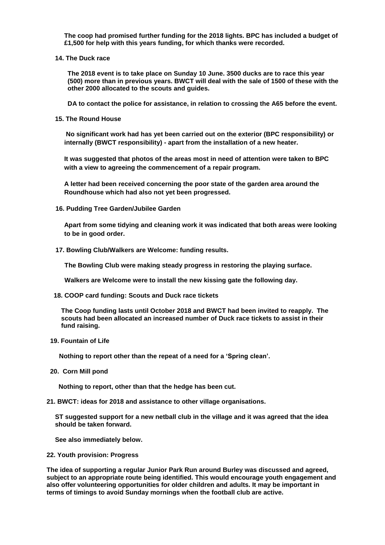**The coop had promised further funding for the 2018 lights. BPC has included a budget of £1,500 for help with this years funding, for which thanks were recorded.**

**14. The Duck race**

**The 2018 event is to take place on Sunday 10 June. 3500 ducks are to race this year (500) more than in previous years. BWCT will deal with the sale of 1500 of these with the other 2000 allocated to the scouts and guides.**

**DA to contact the police for assistance, in relation to crossing the A65 before the event.**

**15. The Round House**

**No significant work had has yet been carried out on the exterior (BPC responsibility) or internally (BWCT responsibility) - apart from the installation of a new heater.**

**It was suggested that photos of the areas most in need of attention were taken to BPC with a view to agreeing the commencement of a repair program.**

**A letter had been received concerning the poor state of the garden area around the Roundhouse which had also not yet been progressed.**

 **16. Pudding Tree Garden/Jubilee Garden** 

**Apart from some tidying and cleaning work it was indicated that both areas were looking to be in good order.**

 **17. Bowling Club/Walkers are Welcome: funding results.**

 **The Bowling Club were making steady progress in restoring the playing surface.**

 **Walkers are Welcome were to install the new kissing gate the following day.**

 **18. COOP card funding: Scouts and Duck race tickets**

**The Coop funding lasts until October 2018 and BWCT had been invited to reapply. The scouts had been allocated an increased number of Duck race tickets to assist in their fund raising.**

 **19. Fountain of Life**

 **Nothing to report other than the repeat of a need for a 'Spring clean'.**

 **20. Corn Mill pond**

 **Nothing to report, other than that the hedge has been cut.**

**21. BWCT: ideas for 2018 and assistance to other village organisations.**

**ST suggested support for a new netball club in the village and it was agreed that the idea should be taken forward.**

**See also immediately below.**

**22. Youth provision: Progress**

**The idea of supporting a regular Junior Park Run around Burley was discussed and agreed, subject to an appropriate route being identified. This would encourage youth engagement and also offer volunteering opportunities for older children and adults. It may be important in terms of timings to avoid Sunday mornings when the football club are active.**